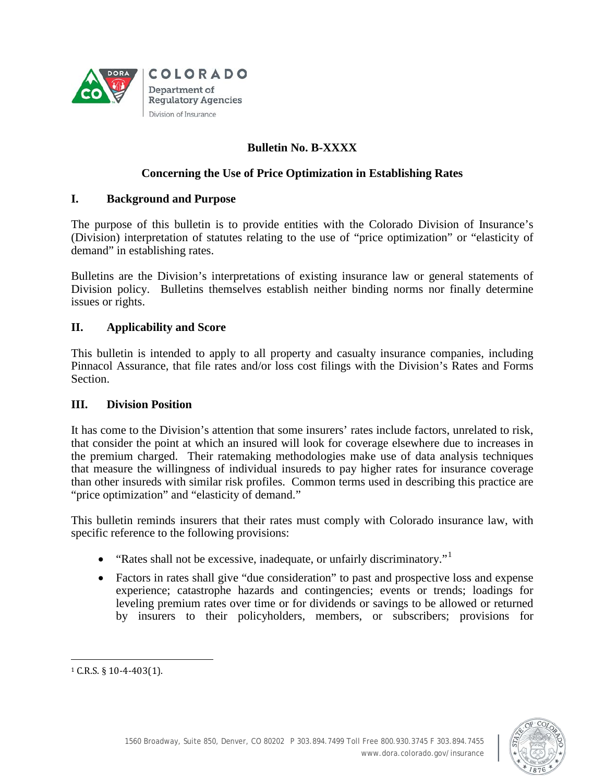

# **Bulletin No. B-XXXX**

# **Concerning the Use of Price Optimization in Establishing Rates**

### **I. Background and Purpose**

The purpose of this bulletin is to provide entities with the Colorado Division of Insurance's (Division) interpretation of statutes relating to the use of "price optimization" or "elasticity of demand" in establishing rates.

Bulletins are the Division's interpretations of existing insurance law or general statements of Division policy. Bulletins themselves establish neither binding norms nor finally determine issues or rights.

#### **II. Applicability and Score**

This bulletin is intended to apply to all property and casualty insurance companies, including Pinnacol Assurance, that file rates and/or loss cost filings with the Division's Rates and Forms Section.

#### **III. Division Position**

It has come to the Division's attention that some insurers' rates include factors, unrelated to risk, that consider the point at which an insured will look for coverage elsewhere due to increases in the premium charged. Their ratemaking methodologies make use of data analysis techniques that measure the willingness of individual insureds to pay higher rates for insurance coverage than other insureds with similar risk profiles. Common terms used in describing this practice are "price optimization" and "elasticity of demand."

This bulletin reminds insurers that their rates must comply with Colorado insurance law, with specific reference to the following provisions:

- "Rates shall not be excessive, inadequate, or unfairly discriminatory."
- Factors in rates shall give "due consideration" to past and prospective loss and expense experience; catastrophe hazards and contingencies; events or trends; loadings for leveling premium rates over time or for dividends or savings to be allowed or returned by insurers to their policyholders, members, or subscribers; provisions for



<span id="page-0-0"></span> $\overline{a}$ <sup>1</sup> C.R.S. § 10-4-403(1).